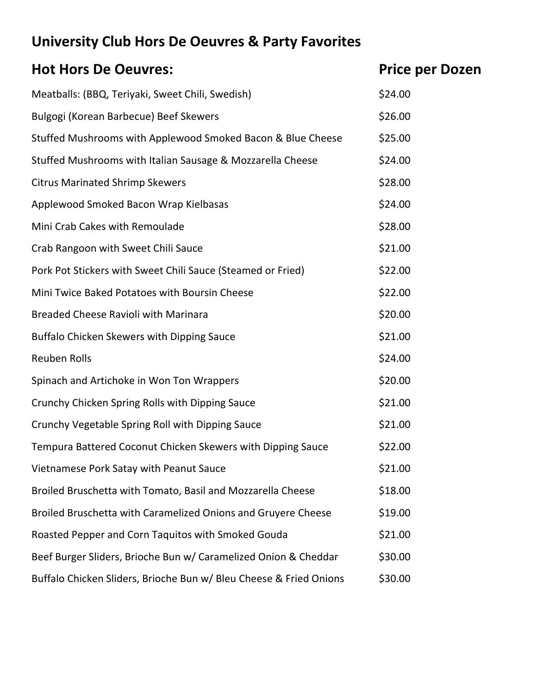## **University Club Hors De Oeuvres & Party Favorites**

| <b>Hot Hors De Oeuvres:</b>                                        | <b>Price per Dozen</b> |
|--------------------------------------------------------------------|------------------------|
| Meatballs: (BBQ, Teriyaki, Sweet Chili, Swedish)                   | \$24.00                |
| Bulgogi (Korean Barbecue) Beef Skewers                             | \$26.00                |
| Stuffed Mushrooms with Applewood Smoked Bacon & Blue Cheese        | \$25.00                |
| Stuffed Mushrooms with Italian Sausage & Mozzarella Cheese         | \$24.00                |
| <b>Citrus Marinated Shrimp Skewers</b>                             | \$28.00                |
| Applewood Smoked Bacon Wrap Kielbasas                              | \$24.00                |
| Mini Crab Cakes with Remoulade                                     | \$28.00                |
| Crab Rangoon with Sweet Chili Sauce                                | \$21.00                |
| Pork Pot Stickers with Sweet Chili Sauce (Steamed or Fried)        | \$22.00                |
| Mini Twice Baked Potatoes with Boursin Cheese                      | \$22.00                |
| <b>Breaded Cheese Ravioli with Marinara</b>                        | \$20.00                |
| <b>Buffalo Chicken Skewers with Dipping Sauce</b>                  | \$21.00                |
| <b>Reuben Rolls</b>                                                | \$24.00                |
| Spinach and Artichoke in Won Ton Wrappers                          | \$20.00                |
| Crunchy Chicken Spring Rolls with Dipping Sauce                    | \$21.00                |
| Crunchy Vegetable Spring Roll with Dipping Sauce                   | \$21.00                |
| Tempura Battered Coconut Chicken Skewers with Dipping Sauce        | \$22.00                |
| Vietnamese Pork Satay with Peanut Sauce                            | \$21.00                |
| Broiled Bruschetta with Tomato, Basil and Mozzarella Cheese        | \$18.00                |
| Broiled Bruschetta with Caramelized Onions and Gruyere Cheese      | \$19.00                |
| Roasted Pepper and Corn Taquitos with Smoked Gouda                 | \$21.00                |
| Beef Burger Sliders, Brioche Bun w/ Caramelized Onion & Cheddar    | \$30.00                |
| Buffalo Chicken Sliders, Brioche Bun w/ Bleu Cheese & Fried Onions | \$30.00                |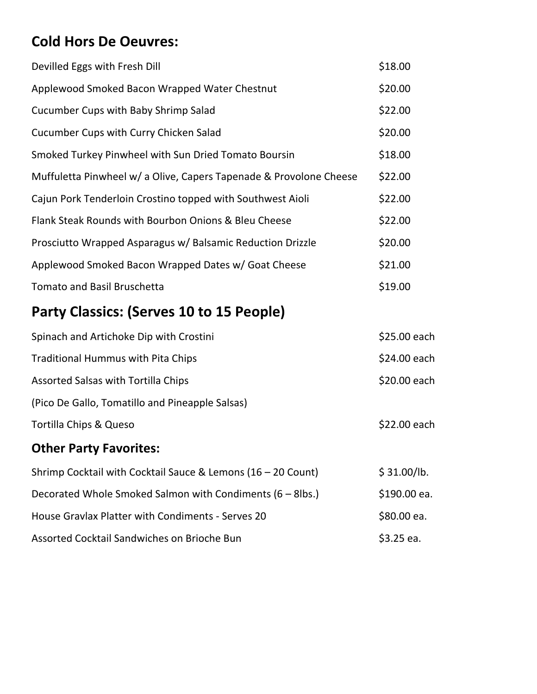## **Cold Hors De Oeuvres:**

| Devilled Eggs with Fresh Dill                                      | \$18.00 |
|--------------------------------------------------------------------|---------|
| Applewood Smoked Bacon Wrapped Water Chestnut                      | \$20.00 |
| Cucumber Cups with Baby Shrimp Salad                               | \$22.00 |
| Cucumber Cups with Curry Chicken Salad                             | \$20.00 |
| Smoked Turkey Pinwheel with Sun Dried Tomato Boursin               | \$18.00 |
| Muffuletta Pinwheel w/ a Olive, Capers Tapenade & Provolone Cheese | \$22.00 |
| Cajun Pork Tenderloin Crostino topped with Southwest Aioli         | \$22.00 |
| Flank Steak Rounds with Bourbon Onions & Bleu Cheese               | \$22.00 |
| Prosciutto Wrapped Asparagus w/ Balsamic Reduction Drizzle         | \$20.00 |
| Applewood Smoked Bacon Wrapped Dates w/ Goat Cheese                | \$21.00 |
| <b>Tomato and Basil Bruschetta</b>                                 | \$19.00 |

## **Party Classics: (Serves 10 to 15 People)**

| <b>Other Party Favorites:</b>                   |              |
|-------------------------------------------------|--------------|
|                                                 |              |
| Tortilla Chips & Queso                          | \$22.00 each |
| (Pico De Gallo, Tomatillo and Pineapple Salsas) |              |
| Assorted Salsas with Tortilla Chips             | \$20.00 each |
| <b>Traditional Hummus with Pita Chips</b>       | \$24.00 each |
| Spinach and Artichoke Dip with Crostini         | \$25.00 each |

| Shrimp Cocktail with Cocktail Sauce & Lemons $(16 - 20$ Count) | \$31.00/lb.  |
|----------------------------------------------------------------|--------------|
| Decorated Whole Smoked Salmon with Condiments (6 – 8lbs.)      | \$190.00 ea. |
| House Gravlax Platter with Condiments - Serves 20              | \$80.00 ea.  |
| Assorted Cocktail Sandwiches on Brioche Bun                    | $$3.25$ ea.  |